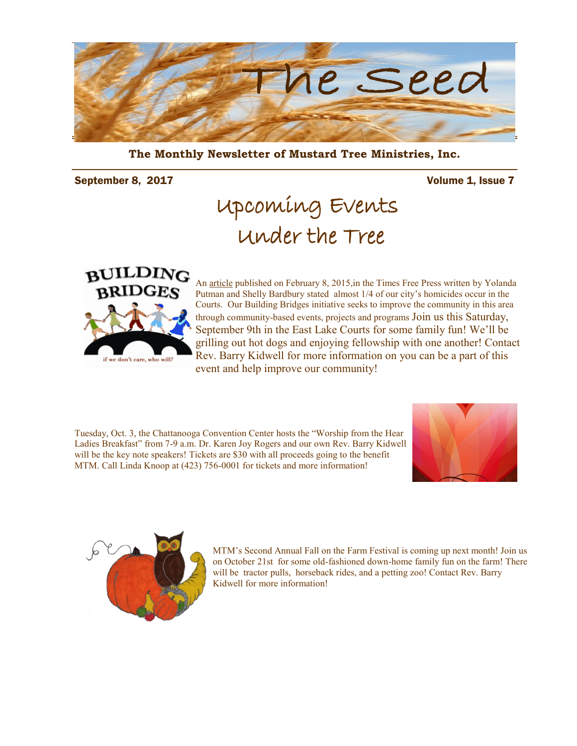

**The Monthly Newsletter of Mustard Tree Ministries, Inc.** 

September 8, 2017 **Volume 1, Issue 7** 

## Upcoming Events Under the Tree



An [article](http://www.timesfreepress.com/news/local/story/2015/feb/08/officials-raise-alarm-after-3-sites-account-n/287170/) published on February 8, 2015,in the Times Free Press written by Yolanda Putman and Shelly Bardbury stated almost 1/4 of our city's homicides occur in the Courts. Our Building Bridges initiative seeks to improve the community in this area through community-based events, projects and programs Join us this Saturday, September 9th in the East Lake Courts for some family fun! We'll be grilling out hot dogs and enjoying fellowship with one another! Contact Rev. Barry Kidwell for more information on you can be a part of this event and help improve our community!

Tuesday, Oct. 3, the Chattanooga Convention Center hosts the "Worship from the Hear Ladies Breakfast" from 7-9 a.m. Dr. Karen Joy Rogers and our own Rev. Barry Kidwell will be the key note speakers! Tickets are \$30 with all proceeds going to the benefit MTM. Call Linda Knoop at (423) 756-0001 for tickets and more information!





MTM's Second Annual Fall on the Farm Festival is coming up next month! Join us on October 21st for some old-fashioned down-home family fun on the farm! There will be tractor pulls, horseback rides, and a petting zoo! Contact Rev. Barry Kidwell for more information!